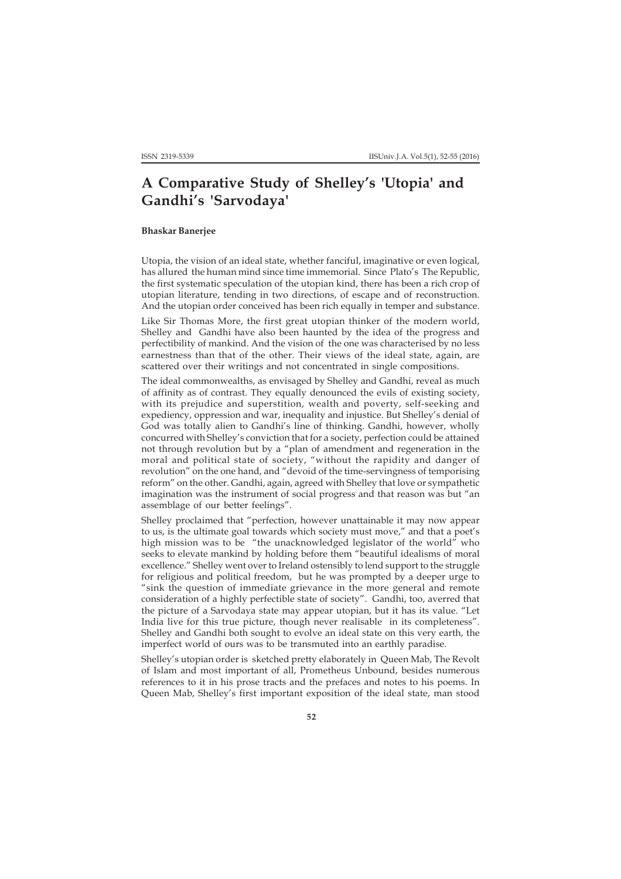## **A Comparative Study of Shelley's 'Utopia' and Gandhi's 'Sarvodaya'**

## **Bhaskar Banerjee**

Utopia, the vision of an ideal state, whether fanciful, imaginative or even logical, has allured the human mind since time immemorial. Since Plato's The Republic, the first systematic speculation of the utopian kind, there has been a rich crop of utopian literature, tending in two directions, of escape and of reconstruction. And the utopian order conceived has been rich equally in temper and substance.

Like Sir Thomas More, the first great utopian thinker of the modern world, Shelley and Gandhi have also been haunted by the idea of the progress and perfectibility of mankind. And the vision of the one was characterised by no less earnestness than that of the other. Their views of the ideal state, again, are scattered over their writings and not concentrated in single compositions.

The ideal commonwealths, as envisaged by Shelley and Gandhi, reveal as much of affinity as of contrast. They equally denounced the evils of existing society, with its prejudice and superstition, wealth and poverty, self-seeking and expediency, oppression and war, inequality and injustice. But Shelley's denial of God was totally alien to Gandhi's line of thinking. Gandhi, however, wholly concurred with Shelley's conviction that for a society, perfection could be attained not through revolution but by a "plan of amendment and regeneration in the moral and political state of society, "without the rapidity and danger of revolution" on the one hand, and "devoid of the time-servingness of temporising reform" on the other. Gandhi, again, agreed with Shelley that love or sympathetic imagination was the instrument of social progress and that reason was but "an assemblage of our better feelings".

Shelley proclaimed that "perfection, however unattainable it may now appear to us, is the ultimate goal towards which society must move," and that a poet's high mission was to be "the unacknowledged legislator of the world" who seeks to elevate mankind by holding before them "beautiful idealisms of moral excellence." Shelley went over to Ireland ostensibly to lend support to the struggle for religious and political freedom, but he was prompted by a deeper urge to "sink the question of immediate grievance in the more general and remote consideration of a highly perfectible state of society". Gandhi, too, averred that the picture of a Sarvodaya state may appear utopian, but it has its value. "Let India live for this true picture, though never realisable in its completeness". Shelley and Gandhi both sought to evolve an ideal state on this very earth, the imperfect world of ours was to be transmuted into an earthly paradise.

Shelley's utopian order is sketched pretty elaborately in Queen Mab, The Revolt of Islam and most important of all, Prometheus Unbound, besides numerous references to it in his prose tracts and the prefaces and notes to his poems. In Queen Mab, Shelley's first important exposition of the ideal state, man stood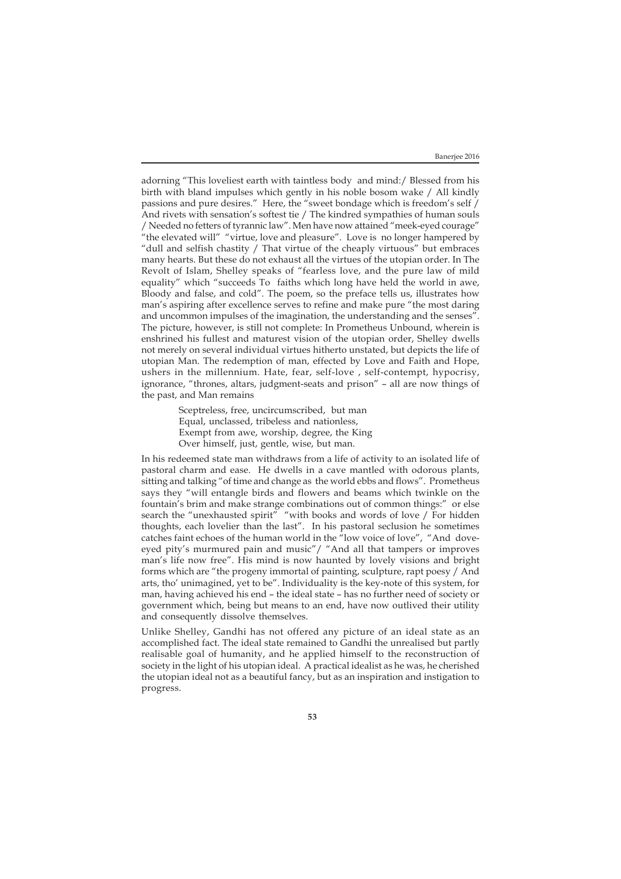adorning "This loveliest earth with taintless body and mind:/ Blessed from his birth with bland impulses which gently in his noble bosom wake / All kindly passions and pure desires." Here, the "sweet bondage which is freedom's self / And rivets with sensation's softest tie / The kindred sympathies of human souls / Needed no fetters of tyrannic law". Men have now attained "meek-eyed courage" "the elevated will" "virtue, love and pleasure". Love is no longer hampered by "dull and selfish chastity / That virtue of the cheaply virtuous" but embraces many hearts. But these do not exhaust all the virtues of the utopian order. In The Revolt of Islam, Shelley speaks of "fearless love, and the pure law of mild equality" which "succeeds To faiths which long have held the world in awe, Bloody and false, and cold". The poem, so the preface tells us, illustrates how man's aspiring after excellence serves to refine and make pure "the most daring and uncommon impulses of the imagination, the understanding and the senses". The picture, however, is still not complete: In Prometheus Unbound, wherein is enshrined his fullest and maturest vision of the utopian order, Shelley dwells not merely on several individual virtues hitherto unstated, but depicts the life of utopian Man. The redemption of man, effected by Love and Faith and Hope, ushers in the millennium. Hate, fear, self-love , self-contempt, hypocrisy, ignorance, "thrones, altars, judgment-seats and prison" – all are now things of the past, and Man remains

> Sceptreless, free, uncircumscribed, but man Equal, unclassed, tribeless and nationless, Exempt from awe, worship, degree, the King Over himself, just, gentle, wise, but man.

In his redeemed state man withdraws from a life of activity to an isolated life of pastoral charm and ease. He dwells in a cave mantled with odorous plants, sitting and talking "of time and change as the world ebbs and flows". Prometheus says they "will entangle birds and flowers and beams which twinkle on the fountain's brim and make strange combinations out of common things:" or else search the "unexhausted spirit" "with books and words of love / For hidden thoughts, each lovelier than the last". In his pastoral seclusion he sometimes catches faint echoes of the human world in the "low voice of love", "And doveeyed pity's murmured pain and music"/ "And all that tampers or improves man's life now free". His mind is now haunted by lovely visions and bright forms which are "the progeny immortal of painting, sculpture, rapt poesy / And arts, tho' unimagined, yet to be". Individuality is the key-note of this system, for man, having achieved his end – the ideal state – has no further need of society or government which, being but means to an end, have now outlived their utility and consequently dissolve themselves.

Unlike Shelley, Gandhi has not offered any picture of an ideal state as an accomplished fact. The ideal state remained to Gandhi the unrealised but partly realisable goal of humanity, and he applied himself to the reconstruction of society in the light of his utopian ideal. A practical idealist as he was, he cherished the utopian ideal not as a beautiful fancy, but as an inspiration and instigation to progress.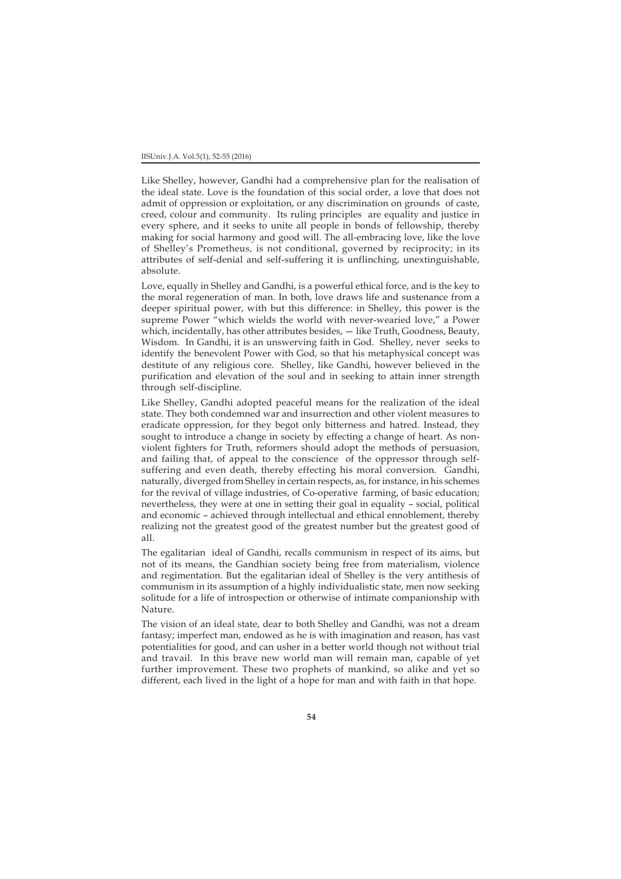Like Shelley, however, Gandhi had a comprehensive plan for the realisation of the ideal state. Love is the foundation of this social order, a love that does not admit of oppression or exploitation, or any discrimination on grounds of caste, creed, colour and community. Its ruling principles are equality and justice in every sphere, and it seeks to unite all people in bonds of fellowship, thereby making for social harmony and good will. The all-embracing love, like the love of Shelley's Prometheus, is not conditional, governed by reciprocity; in its attributes of self-denial and self-suffering it is unflinching, unextinguishable, absolute.

Love, equally in Shelley and Gandhi, is a powerful ethical force, and is the key to the moral regeneration of man. In both, love draws life and sustenance from a deeper spiritual power, with but this difference: in Shelley, this power is the supreme Power "which wields the world with never-wearied love," a Power which, incidentally, has other attributes besides,  $-$  like Truth, Goodness, Beauty, Wisdom. In Gandhi, it is an unswerving faith in God. Shelley, never seeks to identify the benevolent Power with God, so that his metaphysical concept was destitute of any religious core. Shelley, like Gandhi, however believed in the purification and elevation of the soul and in seeking to attain inner strength through self-discipline.

Like Shelley, Gandhi adopted peaceful means for the realization of the ideal state. They both condemned war and insurrection and other violent measures to eradicate oppression, for they begot only bitterness and hatred. Instead, they sought to introduce a change in society by effecting a change of heart. As nonviolent fighters for Truth, reformers should adopt the methods of persuasion, and failing that, of appeal to the conscience of the oppressor through selfsuffering and even death, thereby effecting his moral conversion. Gandhi, naturally, diverged from Shelley in certain respects, as, for instance, in his schemes for the revival of village industries, of Co-operative farming, of basic education; nevertheless, they were at one in setting their goal in equality – social, political and economic – achieved through intellectual and ethical ennoblement, thereby realizing not the greatest good of the greatest number but the greatest good of all.

The egalitarian ideal of Gandhi, recalls communism in respect of its aims, but not of its means, the Gandhian society being free from materialism, violence and regimentation. But the egalitarian ideal of Shelley is the very antithesis of communism in its assumption of a highly individualistic state, men now seeking solitude for a life of introspection or otherwise of intimate companionship with Nature.

The vision of an ideal state, dear to both Shelley and Gandhi, was not a dream fantasy; imperfect man, endowed as he is with imagination and reason, has vast potentialities for good, and can usher in a better world though not without trial and travail. In this brave new world man will remain man, capable of yet further improvement. These two prophets of mankind, so alike and yet so different, each lived in the light of a hope for man and with faith in that hope.